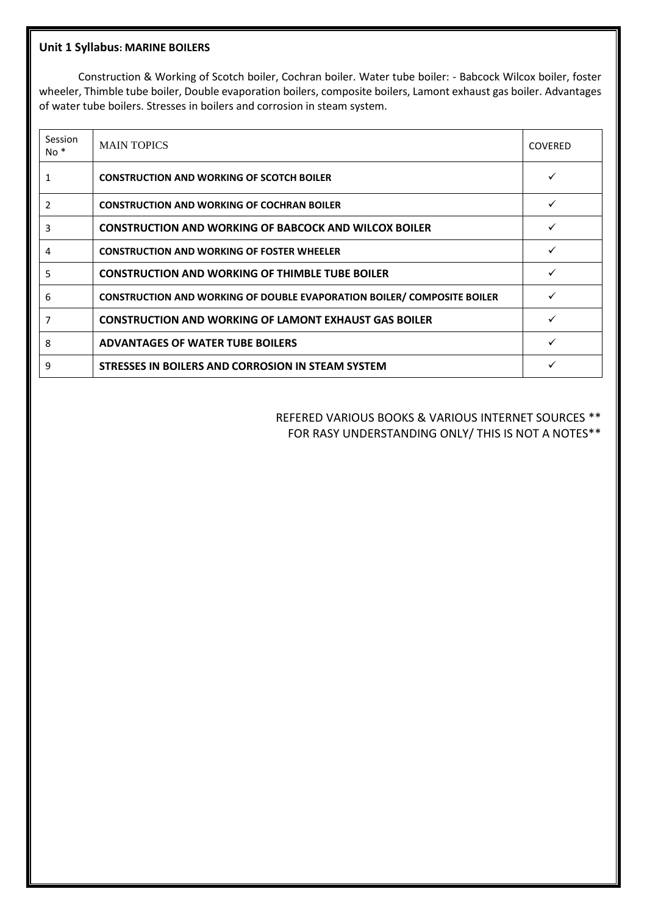#### **Unit 1 Syllabus: MARINE BOILERS**

Construction & Working of Scotch boiler, Cochran boiler. Water tube boiler: - Babcock Wilcox boiler, foster wheeler, Thimble tube boiler, Double evaporation boilers, composite boilers, Lamont exhaust gas boiler. Advantages of water tube boilers. Stresses in boilers and corrosion in steam system.

| Session<br>$No *$ | <b>MAIN TOPICS</b>                                                             | <b>COVERED</b> |
|-------------------|--------------------------------------------------------------------------------|----------------|
|                   | <b>CONSTRUCTION AND WORKING OF SCOTCH BOILER</b>                               |                |
| 2                 | <b>CONSTRUCTION AND WORKING OF COCHRAN BOILER</b>                              |                |
| 3                 | <b>CONSTRUCTION AND WORKING OF BABCOCK AND WILCOX BOILER</b>                   |                |
| 4                 | <b>CONSTRUCTION AND WORKING OF FOSTER WHEELER</b>                              |                |
| 5                 | <b>CONSTRUCTION AND WORKING OF THIMBLE TUBE BOILER</b>                         |                |
| 6                 | <b>CONSTRUCTION AND WORKING OF DOUBLE EVAPORATION BOILER/ COMPOSITE BOILER</b> |                |
| 7                 | <b>CONSTRUCTION AND WORKING OF LAMONT EXHAUST GAS BOILER</b>                   |                |
| 8                 | <b>ADVANTAGES OF WATER TUBE BOILERS</b>                                        |                |
| 9                 | STRESSES IN BOILERS AND CORROSION IN STEAM SYSTEM                              |                |

### REFERED VARIOUS BOOKS & VARIOUS INTERNET SOURCES \*\* FOR RASY UNDERSTANDING ONLY/ THIS IS NOT A NOTES\*\*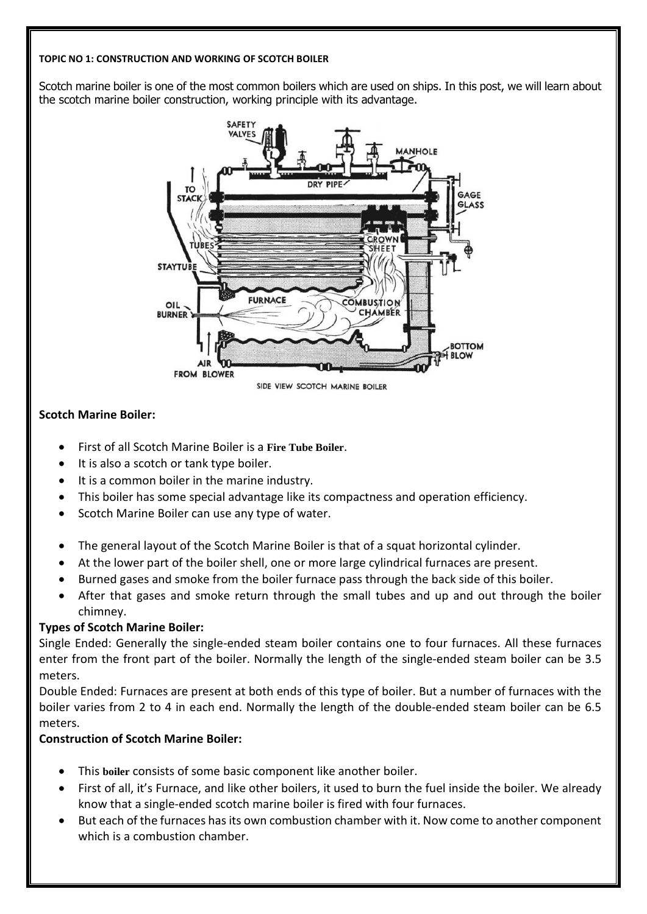#### **TOPIC NO 1: CONSTRUCTION AND WORKING OF SCOTCH BOILER**

Scotch marine boiler is one of the most common boilers which are used on ships. In this post, we will learn about the scotch marine boiler construction, working principle with its advantage.



### **Scotch Marine Boiler:**

- First of all Scotch Marine Boiler is a **Fire Tube [Boiler](https://oelectrical.com/fire-tube-boiler/)**.
- It is also a scotch or tank type boiler.
- It is a common boiler in the marine industry.
- This boiler has some special advantage like its compactness and operation efficiency.
- Scotch Marine Boiler can use any type of water.
- The general layout of the Scotch Marine Boiler is that of a squat horizontal cylinder.
- At the lower part of the boiler shell, one or more large cylindrical furnaces are present.
- Burned gases and smoke from the boiler furnace pass through the back side of this boiler.
- After that gases and smoke return through the small tubes and up and out through the boiler chimney.

## **Types of Scotch Marine Boiler:**

Single Ended: Generally the single-ended steam boiler contains one to four furnaces. All these furnaces enter from the front part of the boiler. Normally the length of the single-ended steam boiler can be 3.5 meters.

Double Ended: Furnaces are present at both ends of this type of boiler. But a number of furnaces with the boiler varies from 2 to 4 in each end. Normally the length of the double-ended steam boiler can be 6.5 meters.

## **Construction of Scotch Marine Boiler:**

- This **[boiler](https://www.anelectricalengineer.com/definition-of-boiler-and-various-types-of-steam-boiler-or-steam-generator/)** consists of some basic component like another boiler.
- First of all, it's Furnace, and like other boilers, it used to burn the fuel inside the boiler. We already know that a single-ended scotch marine boiler is fired with four furnaces.
- But each of the furnaces hasits own combustion chamber with it. Now come to another component which is a combustion chamber.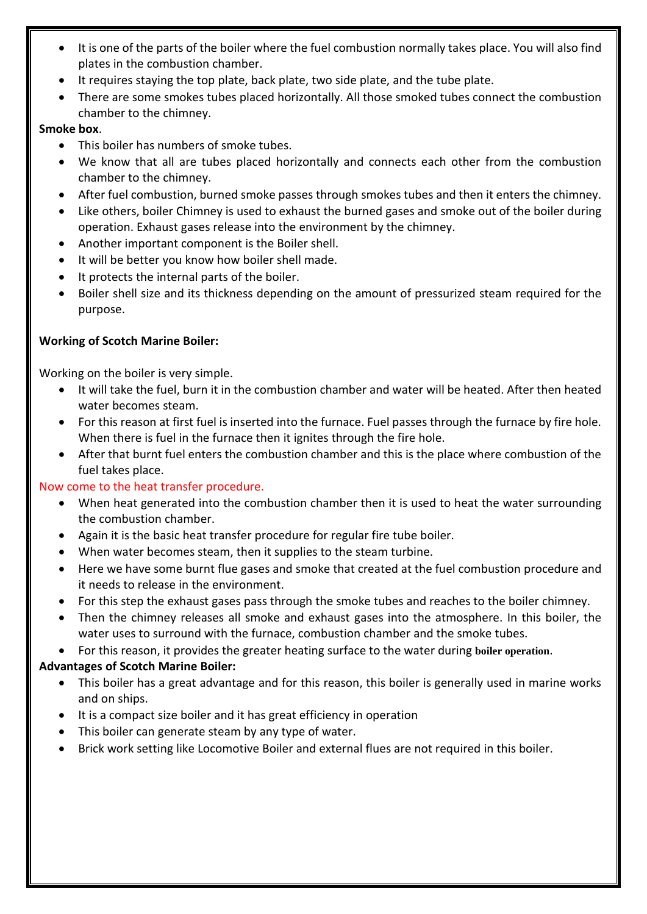- It is one of the parts of the boiler where the fuel combustion normally takes place. You will also find plates in the combustion chamber.
- It requires staying the top plate, back plate, two side plate, and the tube plate.
- There are some smokes tubes placed horizontally. All those smoked tubes connect the combustion chamber to the chimney.

## **Smoke box**.

- This boiler has numbers of smoke tubes.
- We know that all are tubes placed horizontally and connects each other from the combustion chamber to the chimney.
- After fuel combustion, burned smoke passes through smokes tubes and then it enters the chimney.
- Like others, boiler Chimney is used to exhaust the burned gases and smoke out of the boiler during operation. Exhaust gases release into the environment by the chimney.
- Another important component is the Boiler shell.
- It will be better you know how boiler shell made.
- It protects the internal parts of the boiler.
- Boiler shell size and its thickness depending on the amount of pressurized steam required for the purpose.

# **Working of Scotch Marine Boiler:**

Working on the boiler is very simple.

- It will take the fuel, burn it in the combustion chamber and water will be heated. After then heated water becomes steam.
- For this reason at first fuel is inserted into the furnace. Fuel passes through the furnace by fire hole. When there is fuel in the furnace then it ignites through the fire hole.
- After that burnt fuel enters the combustion chamber and this is the place where combustion of the fuel takes place.

# Now come to the heat transfer procedure.

- When heat generated into the combustion chamber then it is used to heat the water surrounding the combustion chamber.
- Again it is the basic heat transfer procedure for regular fire tube boiler.
- When water becomes steam, then it supplies to the steam turbine.
- Here we have some burnt flue gases and smoke that created at the fuel combustion procedure and it needs to release in the environment.
- For this step the exhaust gases pass through the smoke tubes and reaches to the boiler chimney.
- Then the chimney releases all smoke and exhaust gases into the atmosphere. In this boiler, the water uses to surround with the furnace, combustion chamber and the smoke tubes.
- For this reason, it provides the greater heating surface to the water during **boiler [operation](https://www.anelectricalengineer.com/why-boiler-explode-and-how-to-prevent-explosion/)**.

# **Advantages of Scotch Marine Boiler:**

- This boiler has a great advantage and for this reason, this boiler is generally used in marine works and on ships.
- It is a compact size boiler and it has great efficiency in operation
- This boiler can generate steam by any type of water.
- Brick work setting like Locomotive Boiler and external flues are not required in this boiler.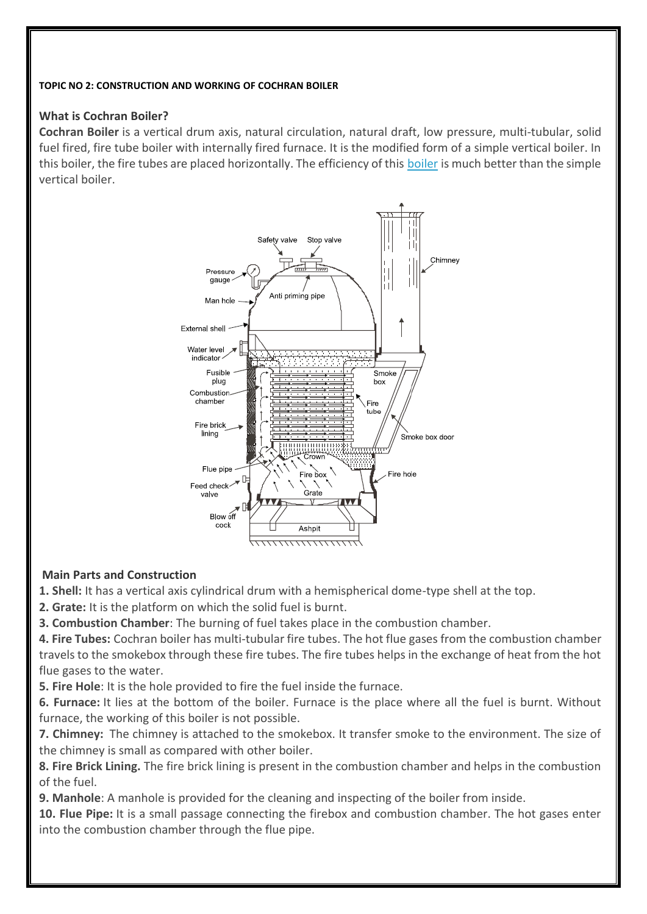#### **TOPIC NO 2: CONSTRUCTION AND WORKING OF COCHRAN BOILER**

### **What is Cochran Boiler?**

**Cochran Boiler** is a vertical drum axis, natural circulation, natural draft, low pressure, multi-tubular, solid fuel fired, fire tube boiler with internally fired furnace. It is the modified form of a simple vertical boiler. In this boiler, the fire tubes are placed horizontally. The efficiency of this [boiler](https://www.mechanicalbooster.com/2016/07/what-is-a-boiler-different-types-of-boiler.html) is much better than the simple vertical boiler.



## **Main Parts and Construction**

**1. Shell:** It has a vertical axis cylindrical drum with a hemispherical dome-type shell at the top.

**2. Grate:** It is the platform on which the solid fuel is burnt.

**3. Combustion Chamber**: The burning of fuel takes place in the combustion chamber.

**4. Fire Tubes:** Cochran boiler has multi-tubular fire tubes. The hot flue gases from the combustion chamber travels to the smokebox through these fire tubes. The fire tubes helps in the exchange of heat from the hot flue gases to the water.

**5. Fire Hole**: It is the hole provided to fire the fuel inside the furnace.

**6. Furnace:** It lies at the bottom of the boiler. Furnace is the place where all the fuel is burnt. Without furnace, the working of this boiler is not possible.

**7. Chimney:** The chimney is attached to the smokebox. It transfer smoke to the environment. The size of the chimney is small as compared with other boiler.

**8. Fire Brick Lining.** The fire brick lining is present in the combustion chamber and helps in the combustion of the fuel.

**9. Manhole**: A manhole is provided for the cleaning and inspecting of the boiler from inside.

**10. Flue Pipe:** It is a small passage connecting the firebox and combustion chamber. The hot gases enter into the combustion chamber through the flue pipe.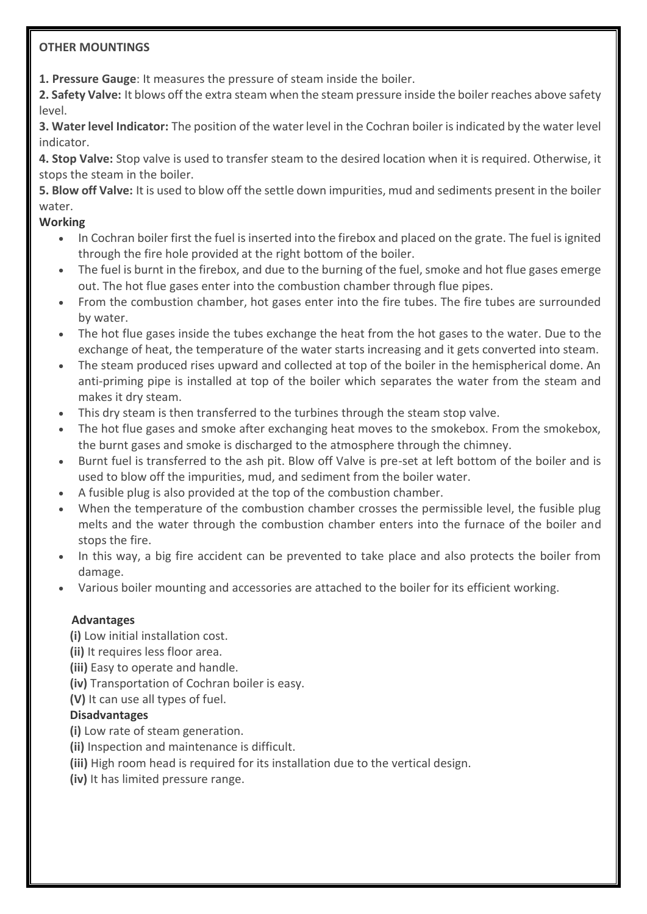## **OTHER MOUNTINGS**

**1. Pressure Gauge**: It measures the pressure of steam inside the boiler.

**2. Safety Valve:** It blows off the extra steam when the steam pressure inside the boiler reaches above safety level.

**3. Water level Indicator:** The position of the water level in the Cochran boiler is indicated by the water level indicator.

**4. Stop Valve:** Stop valve is used to transfer steam to the desired location when it is required. Otherwise, it stops the steam in the boiler.

**5. Blow off Valve:** It is used to blow off the settle down impurities, mud and sediments present in the boiler water.

## **Working**

- In Cochran boiler first the fuel is inserted into the firebox and placed on the grate. The fuel is ignited through the fire hole provided at the right bottom of the boiler.
- The fuel is burnt in the firebox, and due to the burning of the fuel, smoke and hot flue gases emerge out. The hot flue gases enter into the combustion chamber through flue pipes.
- From the combustion chamber, hot gases enter into the fire tubes. The fire tubes are surrounded by water.
- The hot flue gases inside the tubes exchange the heat from the hot gases to the water. Due to the exchange of heat, the temperature of the water starts increasing and it gets converted into steam.
- The steam produced rises upward and collected at top of the boiler in the hemispherical dome. An anti-priming pipe is installed at top of the boiler which separates the water from the steam and makes it dry steam.
- This dry steam is then transferred to the turbines through the steam stop valve.
- The hot flue gases and smoke after exchanging heat moves to the smokebox. From the smokebox, the burnt gases and smoke is discharged to the atmosphere through the chimney.
- Burnt fuel is transferred to the ash pit. Blow off Valve is pre-set at left bottom of the boiler and is used to blow off the impurities, mud, and sediment from the boiler water.
- A fusible plug is also provided at the top of the combustion chamber.
- When the temperature of the combustion chamber crosses the permissible level, the fusible plug melts and the water through the combustion chamber enters into the furnace of the boiler and stops the fire.
- In this way, a big fire accident can be prevented to take place and also protects the boiler from damage.
- Various boiler mounting and accessories are attached to the boiler for its efficient working.

# **Advantages**

**(i)** Low initial installation cost.

**(ii)** It requires less floor area.

**(iii)** Easy to operate and handle.

- **(iv)** Transportation of Cochran boiler is easy.
- **(V)** It can use all types of fuel.

# **Disadvantages**

- **(i)** Low rate of steam generation.
- **(ii)** Inspection and maintenance is difficult.
- **(iii)** High room head is required for its installation due to the vertical design.
- **(iv)** It has limited pressure range.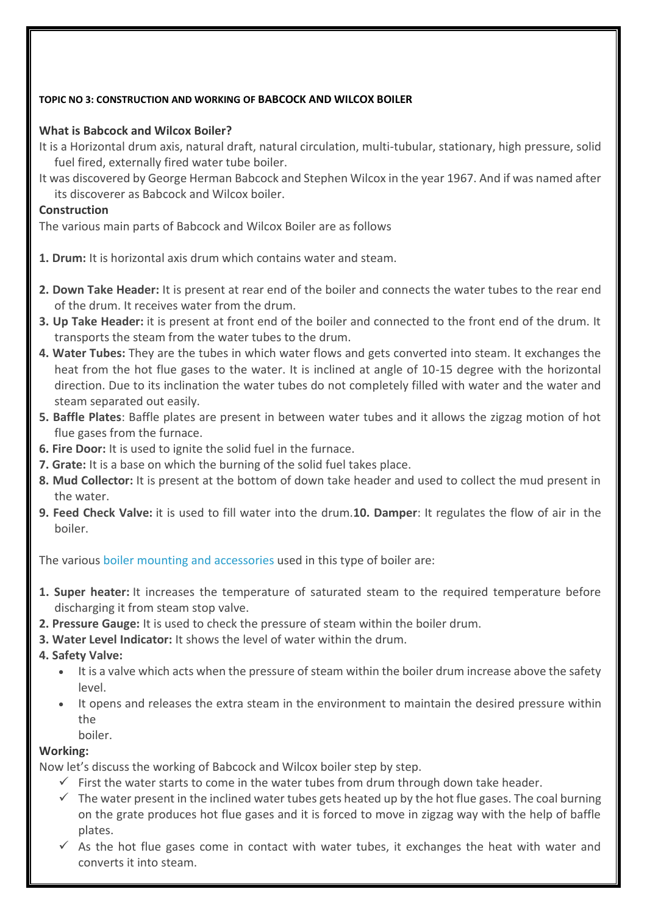### **TOPIC NO 3: CONSTRUCTION AND WORKING OF BABCOCK AND WILCOX BOILER**

## **What is Babcock and Wilcox Boiler?**

- It is a Horizontal drum axis, natural draft, natural circulation, multi-tubular, stationary, high pressure, solid fuel fired, externally fired water tube boiler.
- It was discovered by George Herman Babcock and Stephen Wilcox in the year 1967. And if was named after its discoverer as Babcock and Wilcox boiler.

### **Construction**

The various main parts of Babcock and Wilcox Boiler are as follows

- **1. Drum:** It is horizontal axis drum which contains water and steam.
- **2. Down Take Header:** It is present at rear end of the boiler and connects the water tubes to the rear end of the drum. It receives water from the drum.
- **3. Up Take Header:** it is present at front end of the boiler and connected to the front end of the drum. It transports the steam from the water tubes to the drum.
- **4. Water Tubes:** They are the tubes in which water flows and gets converted into steam. It exchanges the heat from the hot flue gases to the water. It is inclined at angle of 10-15 degree with the horizontal direction. Due to its inclination the water tubes do not completely filled with water and the water and steam separated out easily.
- **5. Baffle Plates**: Baffle plates are present in between water tubes and it allows the zigzag motion of hot flue gases from the furnace.
- **6. Fire Door:** It is used to ignite the solid fuel in the furnace.
- **7. Grate:** It is a base on which the burning of the solid fuel takes place.
- **8. Mud Collector:** It is present at the bottom of down take header and used to collect the mud present in the water.
- **9. Feed Check Valve:** it is used to fill water into the drum.**10. Damper**: It regulates the flow of air in the boiler.

The various boiler mounting and [accessories](https://www.mechanicalbooster.com/2016/05/boiler-mountings-and-accessories.html) used in this type of boiler are:

- **1. Super heater:** It increases the temperature of saturated steam to the required temperature before discharging it from steam stop valve.
- **2. Pressure Gauge:** It is used to check the pressure of steam within the boiler drum.
- **3. Water Level Indicator:** It shows the level of water within the drum.
- **4. Safety Valve:**
	- It is a valve which acts when the pressure of steam within the boiler drum increase above the safety level.
	- It opens and releases the extra steam in the environment to maintain the desired pressure within the
		- boiler.

## **Working:**

Now let's discuss the working of Babcock and Wilcox boiler step by step.

- $\checkmark$  First the water starts to come in the water tubes from drum through down take header.
- $\checkmark$  The water present in the inclined water tubes gets heated up by the hot flue gases. The coal burning on the grate produces hot flue gases and it is forced to move in zigzag way with the help of baffle plates.
- $\checkmark$  As the hot flue gases come in contact with water tubes, it exchanges the heat with water and converts it into steam.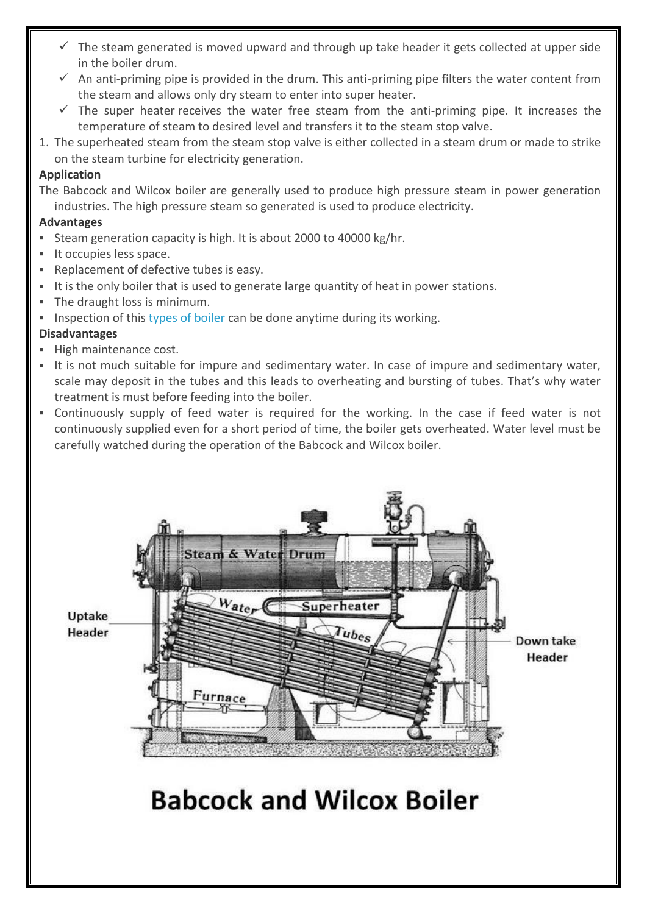- $\checkmark$  The steam generated is moved upward and through up take header it gets collected at upper side in the boiler drum.
- $\checkmark$  An anti-priming pipe is provided in the drum. This anti-priming pipe filters the water content from the steam and allows only dry steam to enter into super heater.
- $\checkmark$  The super heater receives the water free steam from the anti-priming pipe. It increases the temperature of steam to desired level and transfers it to the steam stop valve.
- 1. The superheated steam from the steam stop valve is either collected in a steam drum or made to strike on the steam turbine for electricity generation.

## **Application**

The Babcock and Wilcox boiler are generally used to produce high pressure steam in power generation industries. The high pressure steam so generated is used to produce electricity.

### **Advantages**

- Steam generation capacity is high. It is about 2000 to 40000 kg/hr.
- It occupies less space.
- Replacement of defective tubes is easy.
- It is the only boiler that is used to generate large quantity of heat in power stations.
- The draught loss is minimum.
- Inspection of this types of [boiler](https://www.mechanicalbooster.com/2016/07/what-is-a-boiler-different-types-of-boiler.html) can be done anytime during its working.

## **Disadvantages**

- High maintenance cost.
- It is not much suitable for impure and sedimentary water. In case of impure and sedimentary water, scale may deposit in the tubes and this leads to overheating and bursting of tubes. That's why water treatment is must before feeding into the boiler.
- Continuously supply of feed water is required for the working. In the case if feed water is not continuously supplied even for a short period of time, the boiler gets overheated. Water level must be carefully watched during the operation of the Babcock and Wilcox boiler.

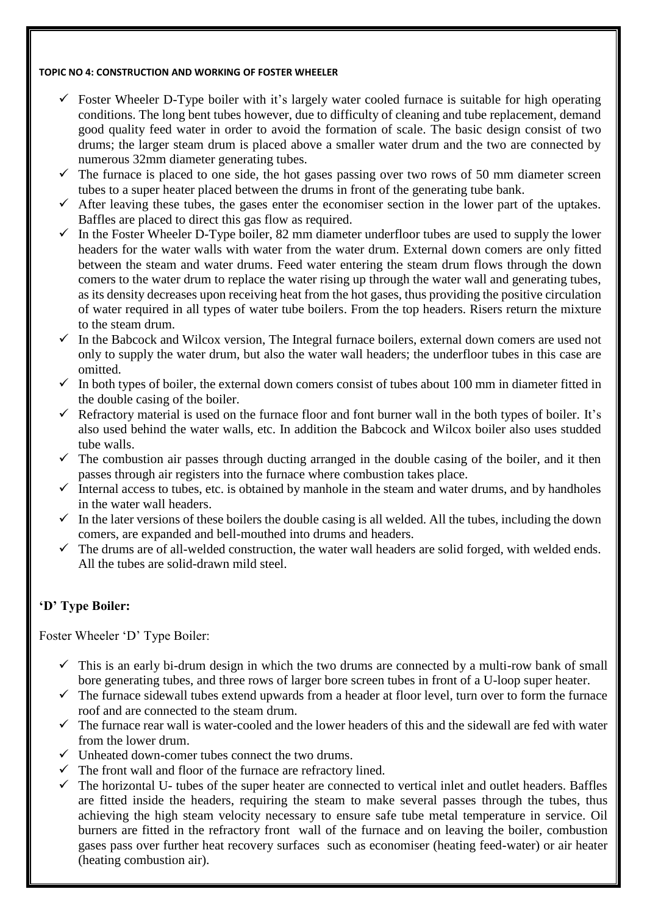#### **TOPIC NO 4: CONSTRUCTION AND WORKING OF FOSTER WHEELER**

- $\checkmark$  Foster Wheeler D-Type boiler with it's largely water cooled furnace is suitable for high operating conditions. The long bent tubes however, due to difficulty of cleaning and tube replacement, demand good quality feed water in order to avoid the formation of scale. The basic design consist of two drums; the larger steam drum is placed above a smaller water drum and the two are connected by numerous 32mm diameter generating tubes.
- $\checkmark$  The furnace is placed to one side, the hot gases passing over two rows of 50 mm diameter screen tubes to a super heater placed between the drums in front of the generating tube bank.
- $\checkmark$  After leaving these tubes, the gases enter the economiser section in the lower part of the uptakes. Baffles are placed to direct this gas flow as required.
- $\checkmark$  In the Foster Wheeler D-Type boiler, 82 mm diameter underfloor tubes are used to supply the lower headers for the water walls with water from the water drum. External down comers are only fitted between the steam and water drums. Feed water entering the steam drum flows through the down comers to the water drum to replace the water rising up through the water wall and generating tubes, as its density decreases upon receiving heat from the hot gases, thus providing the positive circulation of water required in all types of water tube boilers. From the top headers. Risers return the mixture to the steam drum.
- $\checkmark$  In the Babcock and Wilcox version. The Integral furnace boilers, external down comers are used not only to supply the water drum, but also the water wall headers; the underfloor tubes in this case are omitted.
- $\checkmark$  In both types of boiler, the external down comers consist of tubes about 100 mm in diameter fitted in the double casing of the boiler.
- $\checkmark$  Refractory material is used on the furnace floor and font burner wall in the both types of boiler. It's also used behind the water walls, etc. In addition the Babcock and Wilcox boiler also uses studded tube walls.
- $\checkmark$  The combustion air passes through ducting arranged in the double casing of the boiler, and it then passes through air registers into the furnace where combustion takes place.
- $\checkmark$  Internal access to tubes, etc. is obtained by manhole in the steam and water drums, and by handholes in the water wall headers.
- $\checkmark$  In the later versions of these boilers the double casing is all welded. All the tubes, including the down comers, are expanded and bell-mouthed into drums and headers.
- $\checkmark$  The drums are of all-welded construction, the water wall headers are solid forged, with welded ends. All the tubes are solid-drawn mild steel.

# **'D' Type Boiler:**

Foster Wheeler 'D' Type Boiler:

- $\checkmark$  This is an early bi-drum design in which the two drums are connected by a multi-row bank of small bore generating tubes, and three rows of larger bore screen tubes in front of a U-loop super heater.
- $\checkmark$  The furnace sidewall tubes extend upwards from a header at floor level, turn over to form the furnace roof and are connected to the steam drum.
- $\checkmark$  The furnace rear wall is water-cooled and the lower headers of this and the sidewall are fed with water from the lower drum.
- $\checkmark$  Unheated down-comer tubes connect the two drums.
- $\checkmark$  The front wall and floor of the furnace are refractory lined.
- $\checkmark$  The horizontal U- tubes of the super heater are connected to vertical inlet and outlet headers. Baffles are fitted inside the headers, requiring the steam to make several passes through the tubes, thus achieving the high steam velocity necessary to ensure safe tube metal temperature in service. Oil burners are fitted in the refractory front wall of the furnace and on leaving the boiler, combustion gases pass over further heat recovery surfaces such as economiser (heating feed-water) or air heater (heating combustion air).